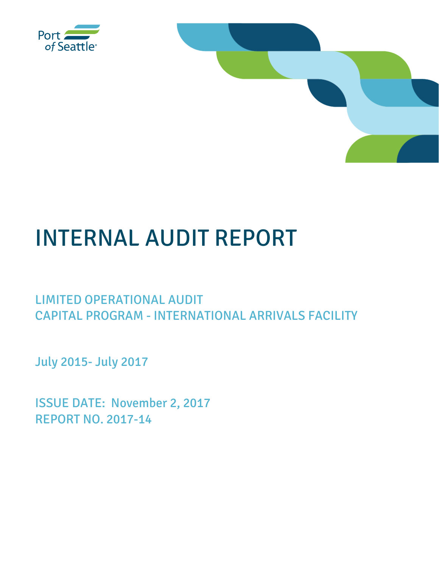



# INTERNAL AUDIT REPORT

## LIMITED OPERATIONAL AUDIT CAPITAL PROGRAM - INTERNATIONAL ARRIVALS FACILITY

July 2015- July 2017

ISSUE DATE: November 2, 2017 REPORT NO. 2017-14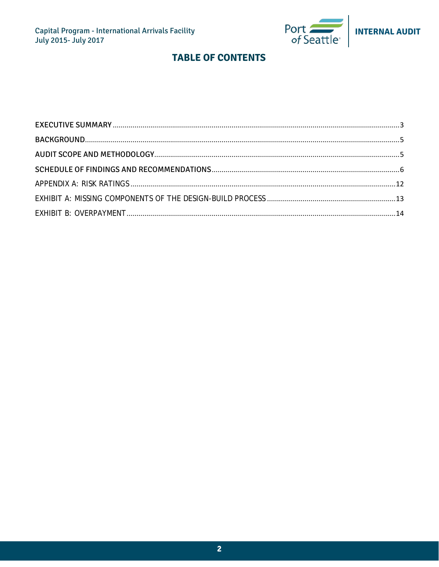

l,

## **TABLE OF CONTENTS**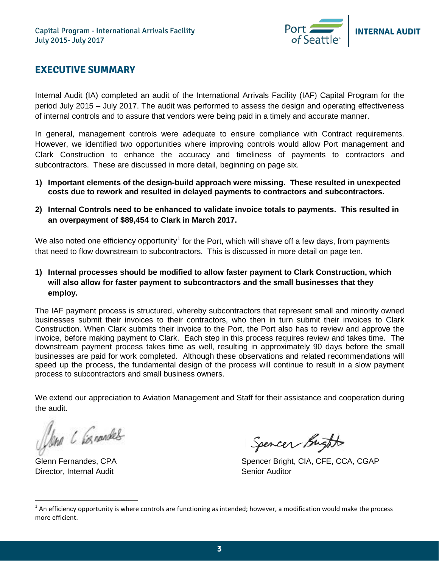

## <span id="page-2-0"></span>**EXECUTIVE SUMMARY**

Internal Audit (IA) completed an audit of the International Arrivals Facility (IAF) Capital Program for the period July 2015 – July 2017. The audit was performed to assess the design and operating effectiveness of internal controls and to assure that vendors were being paid in a timely and accurate manner.

In general, management controls were adequate to ensure compliance with Contract requirements. However, we identified two opportunities where improving controls would allow Port management and Clark Construction to enhance the accuracy and timeliness of payments to contractors and subcontractors. These are discussed in more detail, beginning on page six.

- **1) Important elements of the design-build approach were missing. These resulted in unexpected costs due to rework and resulted in delayed payments to contractors and subcontractors.**
- **2) Internal Controls need to be enhanced to validate invoice totals to payments. This resulted in an overpayment of \$89,454 to Clark in March 2017.**

We also noted one efficiency opportunity<sup>[1](#page-2-1)</sup> for the Port, which will shave off a few days, from payments that need to flow downstream to subcontractors. This is discussed in more detail on page ten.

**1) Internal processes should be modified to allow faster payment to Clark Construction, which will also allow for faster payment to subcontractors and the small businesses that they employ.**

The IAF payment process is structured, whereby subcontractors that represent small and minority owned businesses submit their invoices to their contractors, who then in turn submit their invoices to Clark Construction. When Clark submits their invoice to the Port, the Port also has to review and approve the invoice, before making payment to Clark. Each step in this process requires review and takes time. The downstream payment process takes time as well, resulting in approximately 90 days before the small businesses are paid for work completed. Although these observations and related recommendations will speed up the process, the fundamental design of the process will continue to result in a slow payment process to subcontractors and small business owners.

We extend our appreciation to Aviation Management and Staff for their assistance and cooperation during the audit.

Jone C Connables

Director, Internal Audit National Auditor Christian Senior Auditor

Spencer Bught

Glenn Fernandes, CPA Spencer Bright, CIA, CFE, CCA, CGAP

<span id="page-2-1"></span> $1$  An efficiency opportunity is where controls are functioning as intended; however, a modification would make the process more efficient.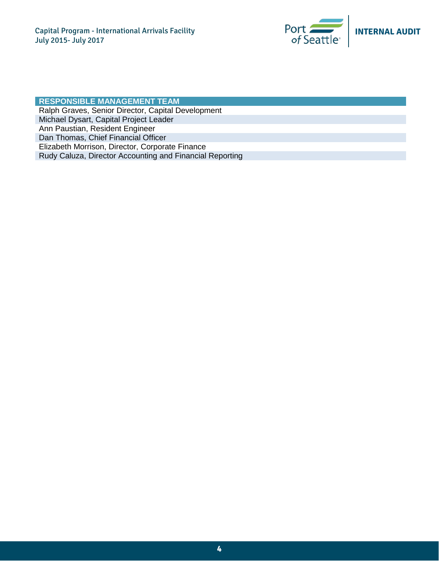

#### **RESPONSIBLE MANAGEMENT TEAM** Ralph Graves, Senior Director, Capital Development Michael Dysart, Capital Project Leader Ann Paustian, Resident Engineer Dan Thomas, Chief Financial Officer Elizabeth Morrison, Director, Corporate Finance Rudy Caluza, Director Accounting and Financial Reporting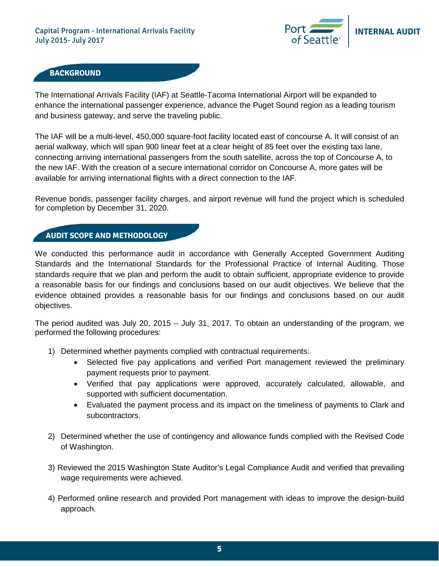

### <span id="page-4-0"></span>**BACKGROUND**

The International Arrivals Facility (IAF) at Seattle-Tacoma International Airport will be expanded to enhance the international passenger experience, advance the Puget Sound region as a leading tourism and business gateway, and serve the traveling public.

The IAF will be a multi-level, 450,000 square-foot facility located east of concourse A. It will consist of an aerial walkway, which will span 900 linear feet at a clear height of 85 feet over the existing taxi lane, connecting arriving international passengers from the south satellite, across the top of Concourse A, to the new IAF. With the creation of a secure international corridor on Concourse A, more gates will be available for arriving international flights with a direct connection to the IAF.

Revenue bonds, passenger facility charges, and airport revenue will fund the project which is scheduled for completion by December 31, 2020.

#### **AUDIT SCOPE AND METHODOLOGY**

We conducted this performance audit in accordance with Generally Accepted Government Auditing Standards and the International Standards for the Professional Practice of Internal Auditing. Those standards require that we plan and perform the audit to obtain sufficient, appropriate evidence to provide a reasonable basis for our findings and conclusions based on our audit objectives. We believe that the evidence obtained provides a reasonable basis for our findings and conclusions based on our audit objectives.

The period audited was July 20, 2015 – July 31, 2017. To obtain an understanding of the program, we performed the following procedures:

- 1) Determined whether payments complied with contractual requirements:
	- Selected five pay applications and verified Port management reviewed the preliminary payment requests prior to payment.
	- Verified that pay applications were approved, accurately calculated, allowable, and supported with sufficient documentation.
	- Evaluated the payment process and its impact on the timeliness of payments to Clark and subcontractors.
- 2) Determined whether the use of contingency and allowance funds complied with the Revised Code of Washington.
- 3) Reviewed the 2015 Washington State Auditor's Legal Compliance Audit and verified that prevailing wage requirements were achieved.
- 4) Performed online research and provided Port management with ideas to improve the design-build approach.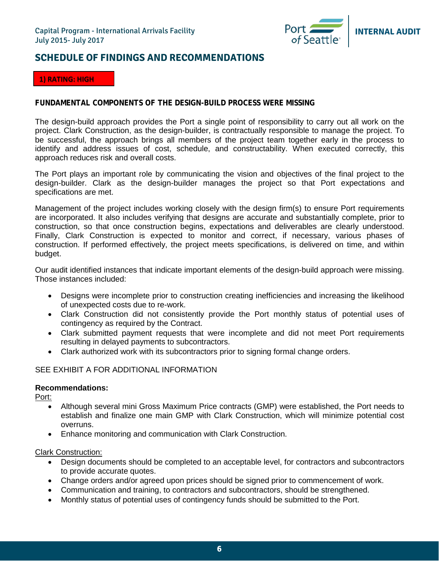

## <span id="page-5-0"></span>**SCHEDULE OF FINDINGS AND RECOMMENDATIONS**

#### **1) RATING: HIGH**

#### **FUNDAMENTAL COMPONENTS OF THE DESIGN-BUILD PROCESS WERE MISSING**

The design-build approach provides the Port a single point of responsibility to carry out all work on the project. Clark Construction, as the design-builder, is contractually responsible to manage the project. To be successful, the approach brings all members of the project team together early in the process to identify and address issues of cost, schedule, and constructability. When executed correctly, this approach reduces risk and overall costs.

The Port plays an important role by communicating the vision and objectives of the final project to the design-builder. Clark as the design-builder manages the project so that Port expectations and specifications are met.

Management of the project includes working closely with the design firm(s) to ensure Port requirements are incorporated. It also includes verifying that designs are accurate and substantially complete, prior to construction, so that once construction begins, expectations and deliverables are clearly understood. Finally, Clark Construction is expected to monitor and correct, if necessary, various phases of construction. If performed effectively, the project meets specifications, is delivered on time, and within budget.

Our audit identified instances that indicate important elements of the design-build approach were missing. Those instances included:

- Designs were incomplete prior to construction creating inefficiencies and increasing the likelihood of unexpected costs due to re-work.
- Clark Construction did not consistently provide the Port monthly status of potential uses of contingency as required by the Contract.
- Clark submitted payment requests that were incomplete and did not meet Port requirements resulting in delayed payments to subcontractors.
- Clark authorized work with its subcontractors prior to signing formal change orders.

#### SEE EXHIBIT A FOR ADDITIONAL INFORMATION

#### **Recommendations:**

Port:

- Although several mini Gross Maximum Price contracts (GMP) were established, the Port needs to establish and finalize one main GMP with Clark Construction, which will minimize potential cost overruns.
- Enhance monitoring and communication with Clark Construction.

#### Clark Construction:

- Design documents should be completed to an acceptable level, for contractors and subcontractors to provide accurate quotes.
- Change orders and/or agreed upon prices should be signed prior to commencement of work.
- Communication and training, to contractors and subcontractors, should be strengthened.
- Monthly status of potential uses of contingency funds should be submitted to the Port.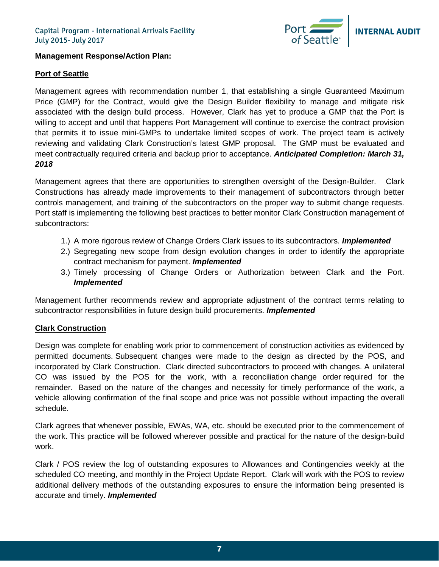

#### **Management Response/Action Plan:**

#### **Port of Seattle**

Management agrees with recommendation number 1, that establishing a single Guaranteed Maximum Price (GMP) for the Contract, would give the Design Builder flexibility to manage and mitigate risk associated with the design build process. However, Clark has yet to produce a GMP that the Port is willing to accept and until that happens Port Management will continue to exercise the contract provision that permits it to issue mini-GMPs to undertake limited scopes of work. The project team is actively reviewing and validating Clark Construction's latest GMP proposal. The GMP must be evaluated and meet contractually required criteria and backup prior to acceptance. *Anticipated Completion: March 31, 2018*

Management agrees that there are opportunities to strengthen oversight of the Design-Builder. Clark Constructions has already made improvements to their management of subcontractors through better controls management, and training of the subcontractors on the proper way to submit change requests. Port staff is implementing the following best practices to better monitor Clark Construction management of subcontractors:

- 1.) A more rigorous review of Change Orders Clark issues to its subcontractors. *Implemented*
- 2.) Segregating new scope from design evolution changes in order to identify the appropriate contract mechanism for payment. *Implemented*
- 3.) Timely processing of Change Orders or Authorization between Clark and the Port. *Implemented*

Management further recommends review and appropriate adjustment of the contract terms relating to subcontractor responsibilities in future design build procurements. *Implemented*

#### **Clark Construction**

Design was complete for enabling work prior to commencement of construction activities as evidenced by permitted documents. Subsequent changes were made to the design as directed by the POS, and incorporated by Clark Construction. Clark directed subcontractors to proceed with changes. A unilateral CO was issued by the POS for the work, with a reconciliation change order required for the remainder. Based on the nature of the changes and necessity for timely performance of the work, a vehicle allowing confirmation of the final scope and price was not possible without impacting the overall schedule.

Clark agrees that whenever possible, EWAs, WA, etc. should be executed prior to the commencement of the work. This practice will be followed wherever possible and practical for the nature of the design-build work.

Clark / POS review the log of outstanding exposures to Allowances and Contingencies weekly at the scheduled CO meeting, and monthly in the Project Update Report. Clark will work with the POS to review additional delivery methods of the outstanding exposures to ensure the information being presented is accurate and timely. *Implemented*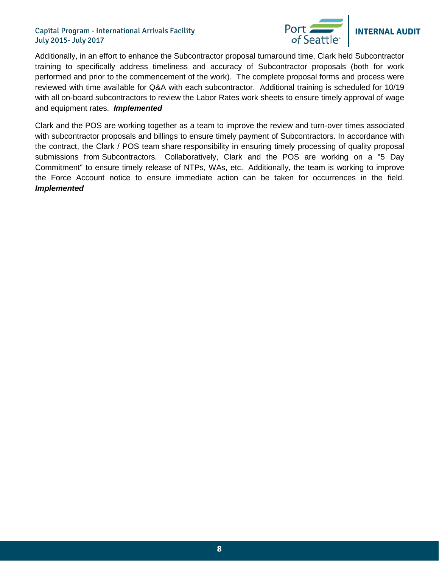#### Capital Program - International Arrivals Facility July 2015- July 2017



## **INTERNAL AUDIT**

Additionally, in an effort to enhance the Subcontractor proposal turnaround time, Clark held Subcontractor training to specifically address timeliness and accuracy of Subcontractor proposals (both for work performed and prior to the commencement of the work). The complete proposal forms and process were reviewed with time available for Q&A with each subcontractor. Additional training is scheduled for 10/19 with all on-board subcontractors to review the Labor Rates work sheets to ensure timely approval of wage and equipment rates. *Implemented*

Clark and the POS are working together as a team to improve the review and turn-over times associated with subcontractor proposals and billings to ensure timely payment of Subcontractors. In accordance with the contract, the Clark / POS team share responsibility in ensuring timely processing of quality proposal submissions from Subcontractors. Collaboratively, Clark and the POS are working on a "5 Day Commitment" to ensure timely release of NTPs, WAs, etc. Additionally, the team is working to improve the Force Account notice to ensure immediate action can be taken for occurrences in the field. *Implemented*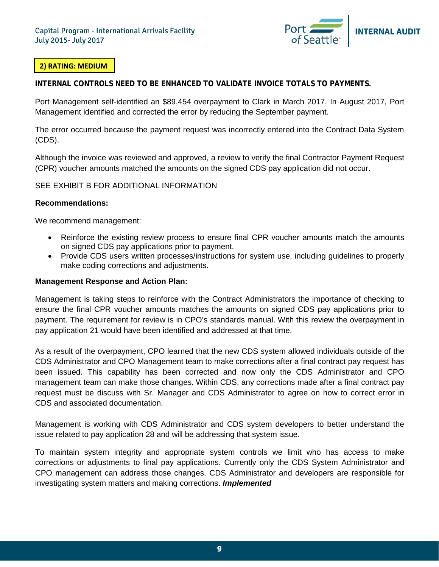

#### **2) RATING: MEDIUM**

**INTERNAL CONTROLS NEED TO BE ENHANCED TO VALIDATE INVOICE TOTALS TO PAYMENTS.**

Port Management self-identified an \$89,454 overpayment to Clark in March 2017. In August 2017, Port Management identified and corrected the error by reducing the September payment.

The error occurred because the payment request was incorrectly entered into the Contract Data System (CDS).

Although the invoice was reviewed and approved, a review to verify the final Contractor Payment Request (CPR) voucher amounts matched the amounts on the signed CDS pay application did not occur.

SEE EXHIBIT B FOR ADDITIONAL INFORMATION

#### **Recommendations:**

We recommend management:

- Reinforce the existing review process to ensure final CPR voucher amounts match the amounts on signed CDS pay applications prior to payment.
- Provide CDS users written processes/instructions for system use, including guidelines to properly make coding corrections and adjustments.

#### **Management Response and Action Plan:**

Management is taking steps to reinforce with the Contract Administrators the importance of checking to ensure the final CPR voucher amounts matches the amounts on signed CDS pay applications prior to payment. The requirement for review is in CPO's standards manual. With this review the overpayment in pay application 21 would have been identified and addressed at that time.

As a result of the overpayment, CPO learned that the new CDS system allowed individuals outside of the CDS Administrator and CPO Management team to make corrections after a final contract pay request has been issued. This capability has been corrected and now only the CDS Administrator and CPO management team can make those changes. Within CDS, any corrections made after a final contract pay request must be discuss with Sr. Manager and CDS Administrator to agree on how to correct error in CDS and associated documentation.

Management is working with CDS Administrator and CDS system developers to better understand the issue related to pay application 28 and will be addressing that system issue.

To maintain system integrity and appropriate system controls we limit who has access to make corrections or adjustments to final pay applications. Currently only the CDS System Administrator and CPO management can address those changes. CDS Administrator and developers are responsible for investigating system matters and making corrections. *Implemented*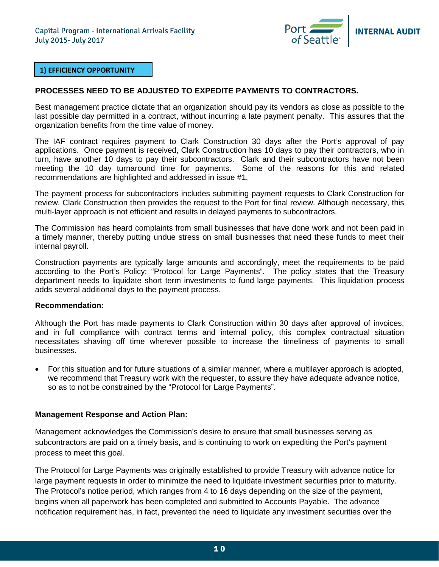

#### **1) EFFICIENCY OPPORTUNITY**

#### **PROCESSES NEED TO BE ADJUSTED TO EXPEDITE PAYMENTS TO CONTRACTORS.**

Best management practice dictate that an organization should pay its vendors as close as possible to the last possible day permitted in a contract, without incurring a late payment penalty. This assures that the organization benefits from the time value of money.

The IAF contract requires payment to Clark Construction 30 days after the Port's approval of pay applications. Once payment is received, Clark Construction has 10 days to pay their contractors, who in turn, have another 10 days to pay their subcontractors. Clark and their subcontractors have not been meeting the 10 day turnaround time for payments. Some of the reasons for this and related recommendations are highlighted and addressed in issue #1.

The payment process for subcontractors includes submitting payment requests to Clark Construction for review. Clark Construction then provides the request to the Port for final review. Although necessary, this multi-layer approach is not efficient and results in delayed payments to subcontractors.

The Commission has heard complaints from small businesses that have done work and not been paid in a timely manner, thereby putting undue stress on small businesses that need these funds to meet their internal payroll.

Construction payments are typically large amounts and accordingly, meet the requirements to be paid according to the Port's Policy: "Protocol for Large Payments". The policy states that the Treasury department needs to liquidate short term investments to fund large payments. This liquidation process adds several additional days to the payment process.

#### **Recommendation:**

Although the Port has made payments to Clark Construction within 30 days after approval of invoices, and in full compliance with contract terms and internal policy, this complex contractual situation necessitates shaving off time wherever possible to increase the timeliness of payments to small businesses.

• For this situation and for future situations of a similar manner, where a multilayer approach is adopted, we recommend that Treasury work with the requester, to assure they have adequate advance notice, so as to not be constrained by the "Protocol for Large Payments".

#### **Management Response and Action Plan:**

Management acknowledges the Commission's desire to ensure that small businesses serving as subcontractors are paid on a timely basis, and is continuing to work on expediting the Port's payment process to meet this goal.

The Protocol for Large Payments was originally established to provide Treasury with advance notice for large payment requests in order to minimize the need to liquidate investment securities prior to maturity. The Protocol's notice period, which ranges from 4 to 16 days depending on the size of the payment, begins when all paperwork has been completed and submitted to Accounts Payable. The advance notification requirement has, in fact, prevented the need to liquidate any investment securities over the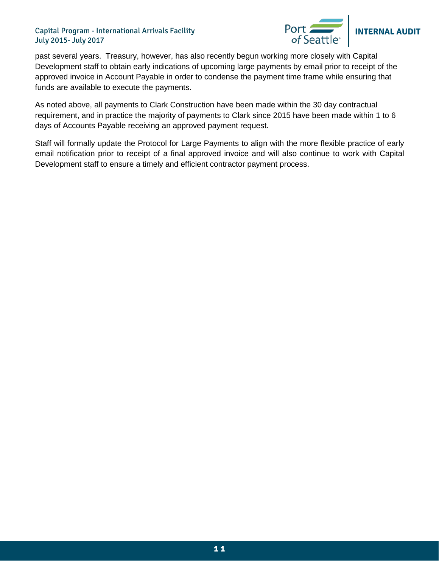#### Capital Program - International Arrivals Facility July 2015- July 2017



past several years. Treasury, however, has also recently begun working more closely with Capital Development staff to obtain early indications of upcoming large payments by email prior to receipt of the approved invoice in Account Payable in order to condense the payment time frame while ensuring that funds are available to execute the payments.

As noted above, all payments to Clark Construction have been made within the 30 day contractual requirement, and in practice the majority of payments to Clark since 2015 have been made within 1 to 6 days of Accounts Payable receiving an approved payment request.

Staff will formally update the Protocol for Large Payments to align with the more flexible practice of early email notification prior to receipt of a final approved invoice and will also continue to work with Capital Development staff to ensure a timely and efficient contractor payment process.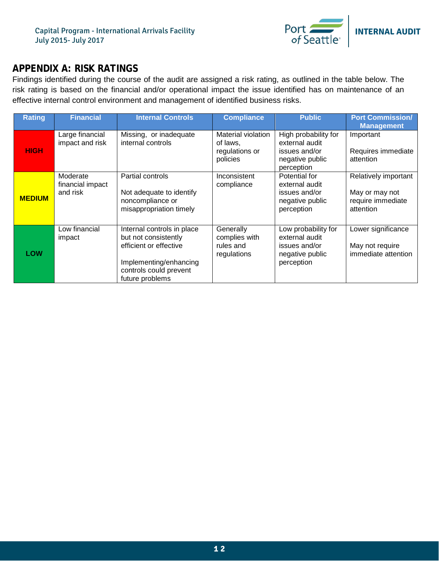

## <span id="page-11-0"></span>**APPENDIX A: RISK RATINGS**

Findings identified during the course of the audit are assigned a risk rating, as outlined in the table below. The risk rating is based on the financial and/or operational impact the issue identified has on maintenance of an effective internal control environment and management of identified business risks.

| <b>Rating</b> | <b>Financial</b>                         | <b>Internal Controls</b>                                                                                                                            | <b>Compliance</b>                                                   | <b>Public</b>                                                                            | <b>Port Commission/</b><br><b>Management</b>                             |
|---------------|------------------------------------------|-----------------------------------------------------------------------------------------------------------------------------------------------------|---------------------------------------------------------------------|------------------------------------------------------------------------------------------|--------------------------------------------------------------------------|
| <b>HIGH</b>   | Large financial<br>impact and risk       | Missing, or inadequate<br>internal controls                                                                                                         | <b>Material violation</b><br>of laws,<br>regulations or<br>policies | High probability for<br>external audit<br>issues and/or<br>negative public<br>perception | Important<br>Requires immediate<br>attention                             |
| <b>MEDIUM</b> | Moderate<br>financial impact<br>and risk | Partial controls<br>Not adequate to identify<br>noncompliance or<br>misappropriation timely                                                         | Inconsistent<br>compliance                                          | Potential for<br>external audit<br>issues and/or<br>negative public<br>perception        | Relatively important<br>May or may not<br>require immediate<br>attention |
| LOW           | Low financial<br>impact                  | Internal controls in place<br>but not consistently<br>efficient or effective<br>Implementing/enhancing<br>controls could prevent<br>future problems | Generally<br>complies with<br>rules and<br>regulations              | Low probability for<br>external audit<br>issues and/or<br>negative public<br>perception  | Lower significance<br>May not require<br>immediate attention             |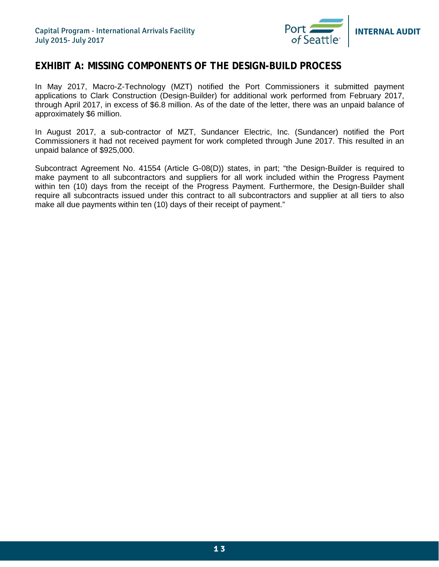

## <span id="page-12-0"></span>**EXHIBIT A: MISSING COMPONENTS OF THE DESIGN-BUILD PROCESS**

In May 2017, Macro-Z-Technology (MZT) notified the Port Commissioners it submitted payment applications to Clark Construction (Design-Builder) for additional work performed from February 2017, through April 2017, in excess of \$6.8 million. As of the date of the letter, there was an unpaid balance of approximately \$6 million.

In August 2017, a sub-contractor of MZT, Sundancer Electric, Inc. (Sundancer) notified the Port Commissioners it had not received payment for work completed through June 2017. This resulted in an unpaid balance of \$925,000.

Subcontract Agreement No. 41554 (Article G-08(D)) states, in part; "the Design-Builder is required to make payment to all subcontractors and suppliers for all work included within the Progress Payment within ten (10) days from the receipt of the Progress Payment. Furthermore, the Design-Builder shall require all subcontracts issued under this contract to all subcontractors and supplier at all tiers to also make all due payments within ten (10) days of their receipt of payment."